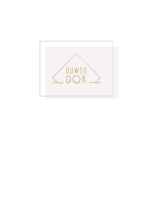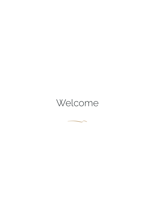# Welcome

 $\overline{\phantom{a}}$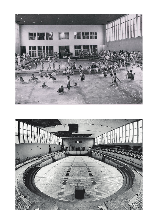

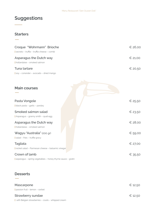## Suggestions

#### **Starters**

and and

÷.

| Croque "Wohrmann" Brioche<br>secreto - truffle - truffle cheese - comté       | € 26,00 |
|-------------------------------------------------------------------------------|---------|
| Asparagus the Dutch way<br>hollandaise - smoked salmon                        | € 21,00 |
| Tuna tartare<br>soy - coriander - avocado - dried mango                       | € 20,50 |
| <b>Main courses</b>                                                           |         |
| Pasta Vongole<br>black pasta - garlic - parsley                               | € 25,50 |
| Smoked salmon salad<br>Asparagus - granny smith - quail egg                   | € 23,50 |
| Asparagus the Dutch way<br>hollandaise - smoked salmon                        | € 28,00 |
| Wagyu "Australia" (200 gr)<br>salad - fries - truffle gravy                   | € 59,00 |
| Tagliata<br>rocket salad - Parmesan cheese - balsamic vinegar                 | € 27,00 |
| Crown of lamb<br>  asparagus - spring vegetables - honey thyme sauce - gratin | € 35,50 |
| <b>Desserts</b>                                                               |         |

| Mascarpone                                         | € 12,50 |
|----------------------------------------------------|---------|
| passion fruit - lemon - sorbet                     |         |
| Strawberry sundae                                  | € 12.50 |
| with Belgian strawberries - coulis - whipped cream |         |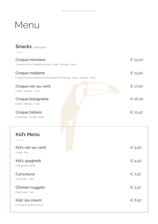# Menu

## Snacks | Until 4 pm

| Croque monsieur<br>cheese and ham toasted sandwich - salad - ketchup - mayo                    | € 13,00 |
|------------------------------------------------------------------------------------------------|---------|
| Croque madame<br>I cheese and ham toasted sandwich topped with an egg - salad - ketchup - mayo | € 13,50 |
| Croque vol-au-vent<br>salad - ketchup - mayo                                                   | € 17,00 |
| Croque bolognaise<br>salad - ketchup - mayo                                                    | € 16,00 |
| Croque Italiano<br>  mozzarella - tomato - pesto                                               | € 13,50 |
| <b>Kid's Menu</b>                                                                              |         |
| Kid's vol-au-vent<br>salad - fries                                                             | € 9,50  |
| Kid's spaghetti<br>with grated cheese                                                          | € 9,50  |
| Currywurst<br>  fresh salad - fries                                                            | € 7,50  |
| Chicken nuggets<br>I fresh salad - fries                                                       | € 7,50  |
| Kids' ice cream<br>1 scoop of vanilla ice cream                                                | € 6,50  |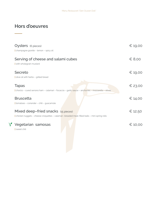## Hors d'oeuvres

and a

 $\sqrt{ }$ 

| Oysters (6 pieces)<br>champagne granite - lemon - spicy oil                                                                                      | € 19,00 |
|--------------------------------------------------------------------------------------------------------------------------------------------------|---------|
| Serving of cheese and salami cubes<br>with wholegrain mustard                                                                                    | € 8,00  |
| Secreto<br>  olive oil with herbs - grilled bread                                                                                                | € 19,00 |
| <b>Tapas</b><br>chorizo - cured serrano ham - calamari - focaccia - garlic sauce - anchovies - mozzarella - olives                               | € 23,00 |
| <b>Bruscetta</b><br>tomatoes - coriander - chili - guacamole                                                                                     | € 14,00 |
| Mixed deep-fried snacks $(15 \text{ pieces})$<br>  chicken nuggets - cheese croquettes - calamari -breaded meat-filled balls - mini spring rolls | € 12,50 |
| Vegetarian samosas<br>I sweet chili                                                                                                              | € 10,00 |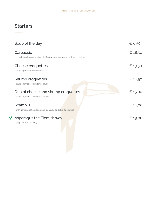### **Starters**

 $\overline{\phantom{a}}$ 

 $\sqrt{}$ 

| Soup of the day                                                                    | € 6,50    |
|------------------------------------------------------------------------------------|-----------|
| Carpaccio<br>rocket salad cream - olive oil - Parmesan cheese - sun-dried tomatoes | € 18,50   |
| Cheese croquettes<br>salad - garlic and lime sauce                                 | € 13.50   |
| Shrimp croquettes<br>salad - lemon - fresh tartar sauce                            | € $16,50$ |
| Duo of cheese and shrimp croquettes<br>salad - lemon - fresh tartar sauce          | € 15,00   |
| Scampi's<br>with garlic sauce, vadouvan curry sauce or diabolique sauce            | € $16,00$ |
| Asparagus the Flemish way<br>$\log q$ – butter – parsley                           | € 19,00   |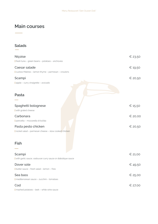### Main courses

#### Salads

 $\mathcal{L}^{\text{max}}_{\text{max}}$ 

| Niçoise                                                     | € 23,50 |
|-------------------------------------------------------------|---------|
| fresh tuna - green beans - potatoes - anchovies             |         |
| Caesar salade                                               | € 19,50 |
| cuckoo Malines - lemon thyme - parmesan - croutons          |         |
| Scampi                                                      | € 20,50 |
| apple - curry vinaigrette - avocado                         |         |
|                                                             |         |
| Pasta                                                       |         |
| Spaghetti bolognese                                         | € 15,50 |
| with grated cheese                                          |         |
| Carbonara                                                   | € 20,00 |
| pancetta - mozzarella di bufala                             |         |
| Pasta pesto chicken                                         | € 20,50 |
| rocket salad - parmesan cheese - slow cooked chicken        |         |
|                                                             |         |
| Fish                                                        |         |
|                                                             |         |
| Scampi                                                      | € 21,00 |
| with garlic sauce, vadouvan curry sauce or diabolique sauce |         |
| Dover sole                                                  | € 49,50 |
| butter sauce - fresh salad - lemon - fries                  |         |
| Sea bass                                                    | € 25,00 |
| mediterranean sauce - zucchini - tomatoes                   |         |
| Cod                                                         | € 27,00 |
| I mashed potatoes - leek - white wine sauce                 |         |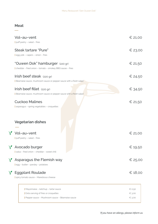#### Meat

| Vol-au-vent<br>  puff pastry - salad - fries                                                                                   | $\epsilon$ 21,00           |
|--------------------------------------------------------------------------------------------------------------------------------|----------------------------|
| <b>Steak tartare "Pure"</b><br>$\log$ egg yolk - capers - onion - fries                                                        | € 23,00                    |
| "Ouwen Dok" hamburger (220 gr)<br>  cheddar - fried onion - tomato - smokey BBQ sause - fries                                  | € 21,50                    |
| Irish beef steak (220 gr)<br>Béarnaise sauce, mushroom sauce or pepper sauce with a fresh salad                                | € 24,50                    |
| Irish beef fillet (220 gr)<br>Béarnaise sauce, mushroom sauce or pepper sauce with a fresh salad                               | € 34.50                    |
| <b>Cuckoo Malines</b><br>asparagus - spring vegetables - croquettes                                                            | € 21,50                    |
| <b>Vegetarian dishes</b><br>Vol-au-vent<br>  puff pastry - salad - fries                                                       | $\epsilon$ 21,00           |
| Avocado burger<br>salsa - fried onion - cheddar - sweet chili                                                                  | € 19,50                    |
| $\sqrt{\phantom{a}}$ Asparagus the Flemish way<br>legg - butter - parsley - potatoes                                           | € 25,00                    |
| <b>Eggplant Roulade</b><br>spicy tomato sauce - Maredsous cheese                                                               | € 18,00                    |
| Mayonnaise - ketchup - tartar sauce<br>Extra serving of fries or croquettes<br>Pepper sauce - Mushroom sauce - Béarnaise sauce | € 0,50<br>€ 3,00<br>€ 3,00 |